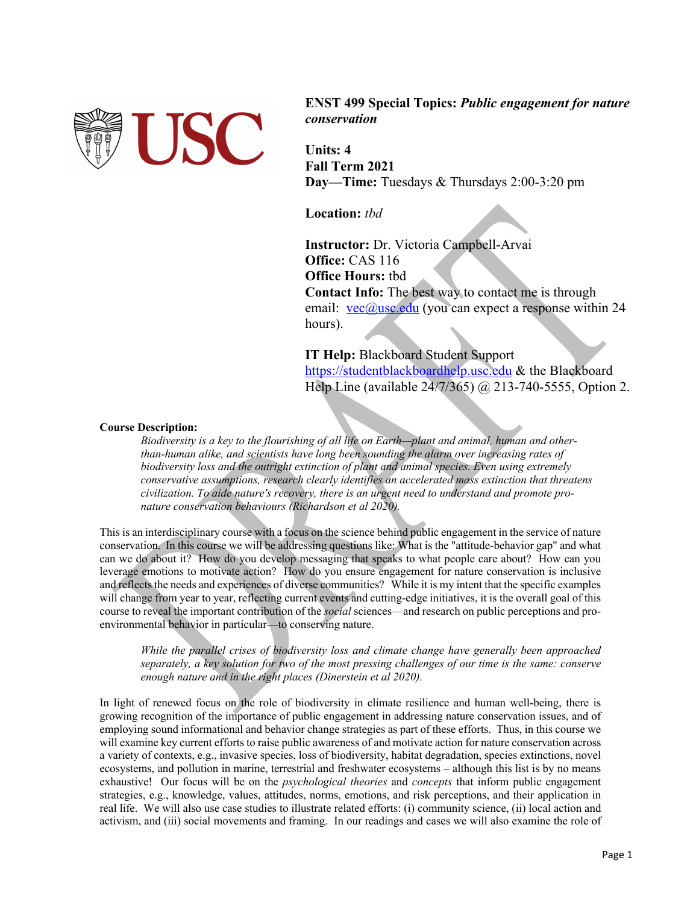

**ENST 499 Special Topics:** *Public engagement for nature conservation*

**Units: 4 Fall Term 2021 Day—Time:** Tuesdays & Thursdays 2:00-3:20 pm

**Location:** *tbd*

**Instructor:** Dr. Victoria Campbell-Arvai **Office: CAS 116 Office Hours:** tbd **Contact Info:** The best way to contact me is through email:  $vec(\theta)$ usc.edu (you can expect a response within 24 hours).

**IT Help:** Blackboard Student Support https://studentblackboardhelp.usc.edu & the Blackboard Help Line (available 24/7/365) @ 213-740-5555, Option 2.

## **Course Description:**

*Biodiversity is a key to the flourishing of all life on Earth—plant and animal, human and other‐ than‐human alike, and scientists have long been sounding the alarm over increasing rates of biodiversity loss and the outright extinction of plant and animal species. Even using extremely conservative assumptions, research clearly identifies an accelerated mass extinction that threatens civilization. To aide nature's recovery, there is an urgent need to understand and promote pro‐ nature conservation behaviours (Richardson et al 2020).*

This is an interdisciplinary course with a focus on the science behind public engagement in the service of nature conservation. In this course we will be addressing questions like: What is the "attitude-behavior gap" and what can we do about it? How do you develop messaging that speaks to what people care about? How can you leverage emotions to motivate action? How do you ensure engagement for nature conservation is inclusive and reflects the needs and experiences of diverse communities? While it is my intent that the specific examples will change from year to year, reflecting current events and cutting-edge initiatives, it is the overall goal of this course to reveal the important contribution of the *social* sciences—and research on public perceptions and proenvironmental behavior in particular—to conserving nature.

*While the parallel crises of biodiversity loss and climate change have generally been approached separately, a key solution for two of the most pressing challenges of our time is the same: conserve enough nature and in the right places (Dinerstein et al 2020).*

In light of renewed focus on the role of biodiversity in climate resilience and human well-being, there is growing recognition of the importance of public engagement in addressing nature conservation issues, and of employing sound informational and behavior change strategies as part of these efforts. Thus, in this course we will examine key current efforts to raise public awareness of and motivate action for nature conservation across a variety of contexts, e.g., invasive species, loss of biodiversity, habitat degradation, species extinctions, novel ecosystems, and pollution in marine, terrestrial and freshwater ecosystems – although this list is by no means exhaustive! Our focus will be on the *psychological theories* and *concepts* that inform public engagement strategies, e.g., knowledge, values, attitudes, norms, emotions, and risk perceptions, and their application in real life. We will also use case studies to illustrate related efforts: (i) community science, (ii) local action and activism, and (iii) social movements and framing. In our readings and cases we will also examine the role of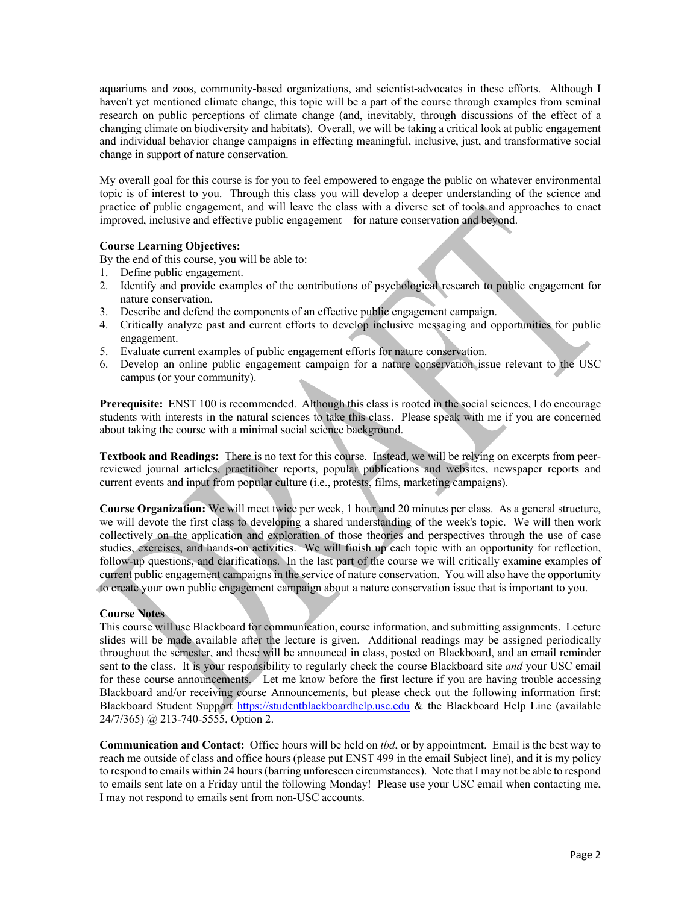aquariums and zoos, community-based organizations, and scientist-advocates in these efforts. Although I haven't yet mentioned climate change, this topic will be a part of the course through examples from seminal research on public perceptions of climate change (and, inevitably, through discussions of the effect of a changing climate on biodiversity and habitats). Overall, we will be taking a critical look at public engagement and individual behavior change campaigns in effecting meaningful, inclusive, just, and transformative social change in support of nature conservation.

My overall goal for this course is for you to feel empowered to engage the public on whatever environmental topic is of interest to you. Through this class you will develop a deeper understanding of the science and practice of public engagement, and will leave the class with a diverse set of tools and approaches to enact improved, inclusive and effective public engagement—for nature conservation and beyond.

## **Course Learning Objectives:**

By the end of this course, you will be able to:

- 1. Define public engagement.
- 2. Identify and provide examples of the contributions of psychological research to public engagement for nature conservation.
- 3. Describe and defend the components of an effective public engagement campaign.
- 4. Critically analyze past and current efforts to develop inclusive messaging and opportunities for public engagement.
- 5. Evaluate current examples of public engagement efforts for nature conservation.
- 6. Develop an online public engagement campaign for a nature conservation issue relevant to the USC campus (or your community).

**Prerequisite:** ENST 100 is recommended.Although this class is rooted in the social sciences, I do encourage students with interests in the natural sciences to take this class. Please speak with me if you are concerned about taking the course with a minimal social science background.

**Textbook and Readings:** There is no text for this course. Instead, we will be relying on excerpts from peerreviewed journal articles, practitioner reports, popular publications and websites, newspaper reports and current events and input from popular culture (i.e., protests, films, marketing campaigns).

**Course Organization:** We will meet twice per week, 1 hour and 20 minutes per class. As a general structure, we will devote the first class to developing a shared understanding of the week's topic. We will then work collectively on the application and exploration of those theories and perspectives through the use of case studies, exercises, and hands-on activities. We will finish up each topic with an opportunity for reflection, follow-up questions, and clarifications. In the last part of the course we will critically examine examples of current public engagement campaigns in the service of nature conservation. You will also have the opportunity to create your own public engagement campaign about a nature conservation issue that is important to you.

## **Course Notes**

This course will use Blackboard for communication, course information, and submitting assignments. Lecture slides will be made available after the lecture is given. Additional readings may be assigned periodically throughout the semester, and these will be announced in class, posted on Blackboard, and an email reminder sent to the class. It is your responsibility to regularly check the course Blackboard site *and* your USC email for these course announcements. Let me know before the first lecture if you are having trouble accessing Blackboard and/or receiving course Announcements, but please check out the following information first: Blackboard Student Support https://studentblackboardhelp.usc.edu & the Blackboard Help Line (available 24/7/365) @ 213-740-5555, Option 2.

**Communication and Contact:** Office hours will be held on *tbd*, or by appointment. Email is the best way to reach me outside of class and office hours (please put ENST 499 in the email Subject line), and it is my policy to respond to emails within 24 hours (barring unforeseen circumstances). Note that I may not be able to respond to emails sent late on a Friday until the following Monday!Please use your USC email when contacting me, I may not respond to emails sent from non-USC accounts.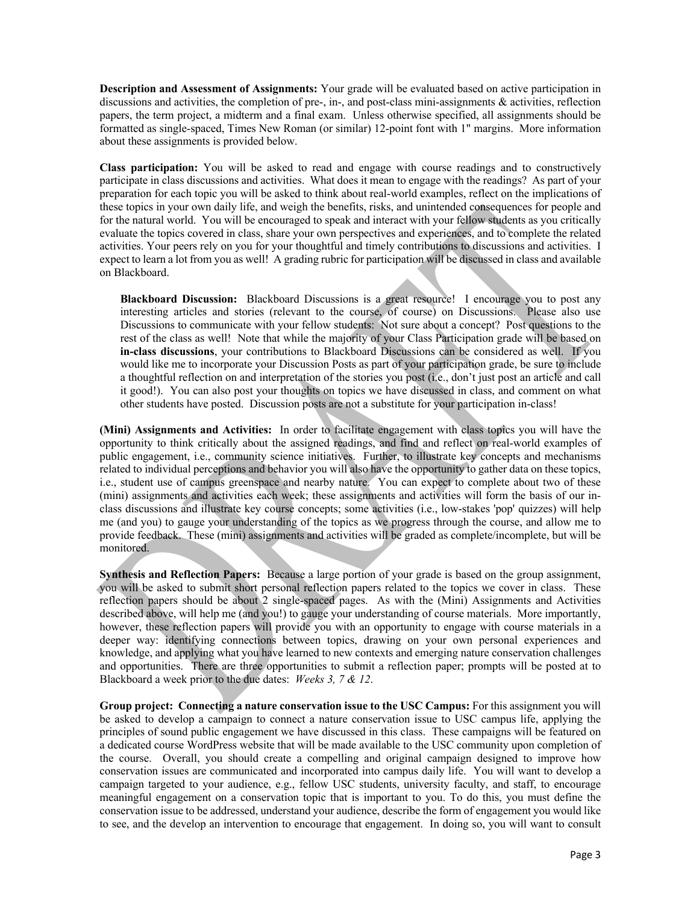**Description and Assessment of Assignments:** Your grade will be evaluated based on active participation in discussions and activities, the completion of pre-, in-, and post-class mini-assignments & activities, reflection papers, the term project, a midterm and a final exam. Unless otherwise specified, all assignments should be formatted as single-spaced, Times New Roman (or similar) 12-point font with 1" margins. More information about these assignments is provided below.

**Class participation:** You will be asked to read and engage with course readings and to constructively participate in class discussions and activities. What does it mean to engage with the readings? As part of your preparation for each topic you will be asked to think about real-world examples, reflect on the implications of these topics in your own daily life, and weigh the benefits, risks, and unintended consequences for people and for the natural world. You will be encouraged to speak and interact with your fellow students as you critically evaluate the topics covered in class, share your own perspectives and experiences, and to complete the related activities. Your peers rely on you for your thoughtful and timely contributions to discussions and activities. I expect to learn a lot from you as well! A grading rubric for participation will be discussed in class and available on Blackboard.

**Blackboard Discussion:** Blackboard Discussions is a great resource! I encourage you to post any interesting articles and stories (relevant to the course, of course) on Discussions. Please also use Discussions to communicate with your fellow students: Not sure about a concept? Post questions to the rest of the class as well! Note that while the majority of your Class Participation grade will be based on **in-class discussions**, your contributions to Blackboard Discussions can be considered as well. If you would like me to incorporate your Discussion Posts as part of your participation grade, be sure to include a thoughtful reflection on and interpretation of the stories you post (i.e., don't just post an article and call it good!). You can also post your thoughts on topics we have discussed in class, and comment on what other students have posted. Discussion posts are not a substitute for your participation in-class!

**(Mini) Assignments and Activities:** In order to facilitate engagement with class topics you will have the opportunity to think critically about the assigned readings, and find and reflect on real-world examples of public engagement, i.e., community science initiatives. Further, to illustrate key concepts and mechanisms related to individual perceptions and behavior you will also have the opportunity to gather data on these topics, i.e., student use of campus greenspace and nearby nature. You can expect to complete about two of these (mini) assignments and activities each week; these assignments and activities will form the basis of our inclass discussions and illustrate key course concepts; some activities (i.e., low-stakes 'pop' quizzes) will help me (and you) to gauge your understanding of the topics as we progress through the course, and allow me to provide feedback. These (mini) assignments and activities will be graded as complete/incomplete, but will be monitored.

**Synthesis and Reflection Papers:** Because a large portion of your grade is based on the group assignment, you will be asked to submit short personal reflection papers related to the topics we cover in class. These reflection papers should be about 2 single-spaced pages. As with the (Mini) Assignments and Activities described above, will help me (and you!) to gauge your understanding of course materials. More importantly, however, these reflection papers will provide you with an opportunity to engage with course materials in a deeper way: identifying connections between topics, drawing on your own personal experiences and knowledge, and applying what you have learned to new contexts and emerging nature conservation challenges and opportunities. There are three opportunities to submit a reflection paper; prompts will be posted at to Blackboard a week prior to the due dates: *Weeks 3, 7 & 12*.

**Group project: Connecting a nature conservation issue to the USC Campus:** For this assignment you will be asked to develop a campaign to connect a nature conservation issue to USC campus life, applying the principles of sound public engagement we have discussed in this class. These campaigns will be featured on a dedicated course WordPress website that will be made available to the USC community upon completion of the course. Overall, you should create a compelling and original campaign designed to improve how conservation issues are communicated and incorporated into campus daily life. You will want to develop a campaign targeted to your audience, e.g., fellow USC students, university faculty, and staff, to encourage meaningful engagement on a conservation topic that is important to you. To do this, you must define the conservation issue to be addressed, understand your audience, describe the form of engagement you would like to see, and the develop an intervention to encourage that engagement. In doing so, you will want to consult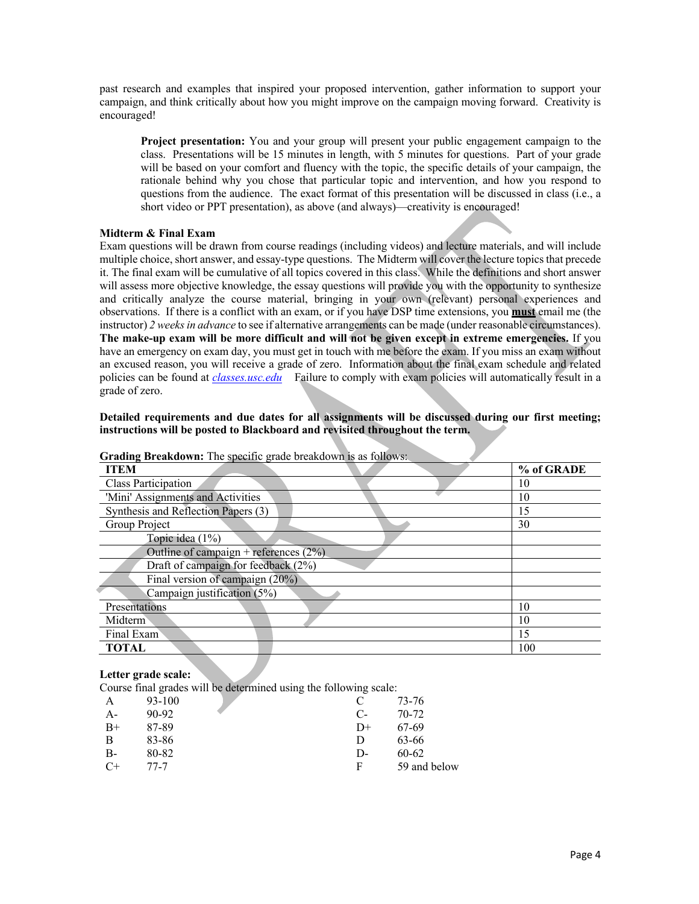past research and examples that inspired your proposed intervention, gather information to support your campaign, and think critically about how you might improve on the campaign moving forward. Creativity is encouraged!

**Project presentation:** You and your group will present your public engagement campaign to the class. Presentations will be 15 minutes in length, with 5 minutes for questions. Part of your grade will be based on your comfort and fluency with the topic, the specific details of your campaign, the rationale behind why you chose that particular topic and intervention, and how you respond to questions from the audience. The exact format of this presentation will be discussed in class (i.e., a short video or PPT presentation), as above (and always)—creativity is encouraged!

#### **Midterm & Final Exam**

Exam questions will be drawn from course readings (including videos) and lecture materials, and will include multiple choice, short answer, and essay-type questions. The Midterm will cover the lecture topics that precede it. The final exam will be cumulative of all topics covered in this class. While the definitions and short answer will assess more objective knowledge, the essay questions will provide you with the opportunity to synthesize and critically analyze the course material, bringing in your own (relevant) personal experiences and observations. If there is a conflict with an exam, or if you have DSP time extensions, you **must** email me (the instructor) *2 weeks in advance* to see if alternative arrangements can be made (under reasonable circumstances). **The make-up exam will be more difficult and will not be given except in extreme emergencies.** If you have an emergency on exam day, you must get in touch with me before the exam. If you miss an exam without an excused reason, you will receive a grade of zero. Information about the final exam schedule and related policies can be found at *classes.usc.edu* Failure to comply with exam policies will automatically result in a grade of zero.

### **Detailed requirements and due dates for all assignments will be discussed during our first meeting; instructions will be posted to Blackboard and revisited throughout the term.**

| Grading Dreakdown: The specific grade breakdown is as follows. |            |  |  |
|----------------------------------------------------------------|------------|--|--|
| <b>ITEM</b>                                                    | % of GRADE |  |  |
| Class Participation                                            | 10         |  |  |
| 'Mini' Assignments and Activities                              | 10         |  |  |
| Synthesis and Reflection Papers (3)                            | 15         |  |  |
| Group Project                                                  | 30         |  |  |
| Topic idea $(1\%)$                                             |            |  |  |
| Outline of campaign + references $(2\%)$                       |            |  |  |
| Draft of campaign for feedback $(2%)$                          |            |  |  |
| Final version of campaign $(20\%)$                             |            |  |  |
| Campaign justification (5%)                                    |            |  |  |
| Presentations                                                  | 10         |  |  |
| Midterm                                                        | 10         |  |  |
| Final Exam                                                     | 15         |  |  |
| TOTAL                                                          | 100        |  |  |

**Grading Breakdown:** The specific grade breakdown is as follows:

#### **Letter grade scale:**

Course final grades will be determined using the following scale:

| А    | 93-100 |              | 73-76        |
|------|--------|--------------|--------------|
| $A-$ | 90-92  | $\mathbb{C}$ | $70-72$      |
| $B+$ | 87-89  | $D+$         | 67-69        |
| B    | 83-86  | Ð            | 63-66        |
| $B-$ | 80-82  | D-           | 60-62        |
| $C+$ | 77-7   | F            | 59 and below |
|      |        |              |              |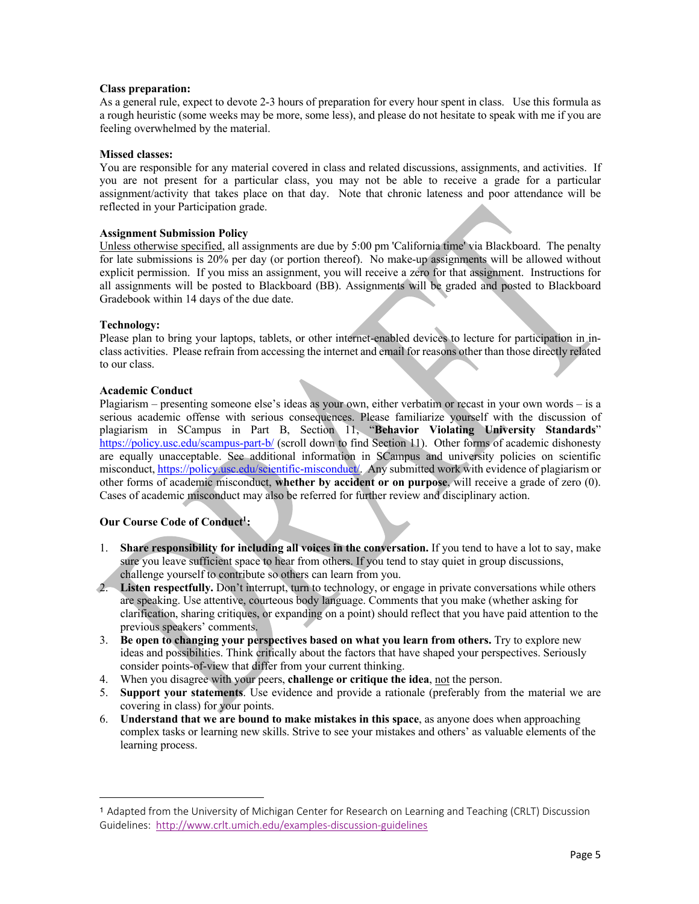#### **Class preparation:**

As a general rule, expect to devote 2-3 hours of preparation for every hour spent in class. Use this formula as a rough heuristic (some weeks may be more, some less), and please do not hesitate to speak with me if you are feeling overwhelmed by the material.

#### **Missed classes:**

You are responsible for any material covered in class and related discussions, assignments, and activities. If you are not present for a particular class, you may not be able to receive a grade for a particular assignment/activity that takes place on that day. Note that chronic lateness and poor attendance will be reflected in your Participation grade.

#### **Assignment Submission Policy**

Unless otherwise specified, all assignments are due by 5:00 pm 'California time' via Blackboard. The penalty for late submissions is 20% per day (or portion thereof). No make-up assignments will be allowed without explicit permission. If you miss an assignment, you will receive a zero for that assignment. Instructions for all assignments will be posted to Blackboard (BB). Assignments will be graded and posted to Blackboard Gradebook within 14 days of the due date.

#### **Technology:**

Please plan to bring your laptops, tablets, or other internet-enabled devices to lecture for participation in inclass activities. Please refrain from accessing the internet and email for reasons other than those directly related to our class.

#### **Academic Conduct**

Plagiarism – presenting someone else's ideas as your own, either verbatim or recast in your own words – is a serious academic offense with serious consequences. Please familiarize yourself with the discussion of plagiarism in SCampus in Part B, Section 11, "**Behavior Violating University Standards**" https://policy.usc.edu/scampus-part-b/ (scroll down to find Section 11). Other forms of academic dishonesty are equally unacceptable. See additional information in SCampus and university policies on scientific misconduct, https://policy.usc.edu/scientific-misconduct/. Any submitted work with evidence of plagiarism or other forms of academic misconduct, **whether by accident or on purpose**, will receive a grade of zero (0). Cases of academic misconduct may also be referred for further review and disciplinary action.

## **Our Course Code of Conduct1 :**

- 1. **Share responsibility for including all voices in the conversation.** If you tend to have a lot to say, make sure you leave sufficient space to hear from others. If you tend to stay quiet in group discussions, challenge yourself to contribute so others can learn from you.
- 2. **Listen respectfully.** Don't interrupt, turn to technology, or engage in private conversations while others are speaking. Use attentive, courteous body language. Comments that you make (whether asking for clarification, sharing critiques, or expanding on a point) should reflect that you have paid attention to the previous speakers' comments.
- 3. **Be open to changing your perspectives based on what you learn from others.** Try to explore new ideas and possibilities. Think critically about the factors that have shaped your perspectives. Seriously consider points-of-view that differ from your current thinking.
- 4. When you disagree with your peers, **challenge or critique the idea**, not the person.
- 5. **Support your statements**. Use evidence and provide a rationale (preferably from the material we are covering in class) for your points.
- 6. **Understand that we are bound to make mistakes in this space**, as anyone does when approaching complex tasks or learning new skills. Strive to see your mistakes and others' as valuable elements of the learning process.

<sup>1</sup> Adapted from the University of Michigan Center for Research on Learning and Teaching (CRLT) Discussion Guidelines: http://www.crlt.umich.edu/examples-discussion-guidelines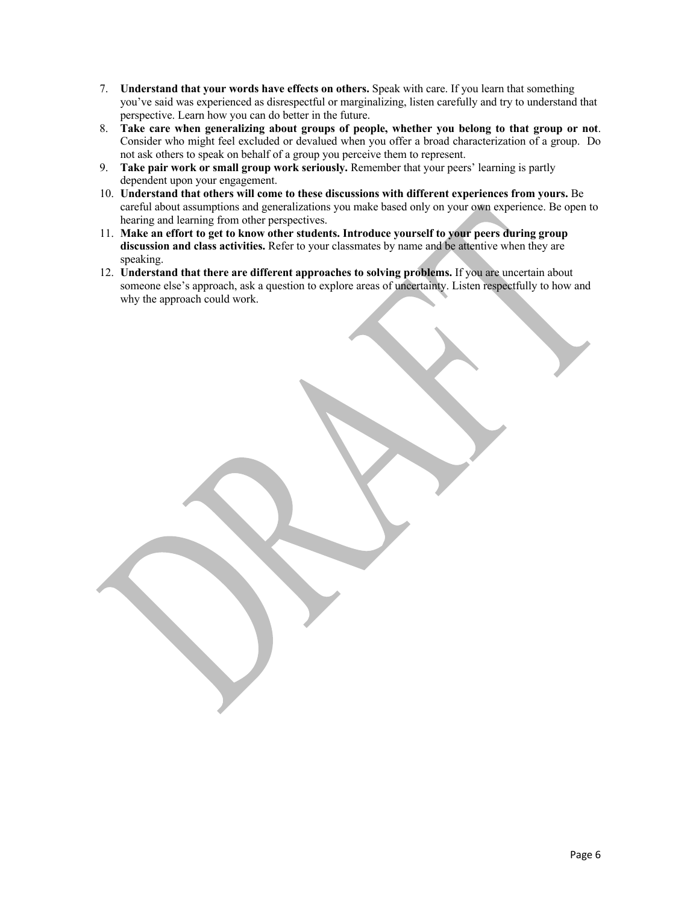- 7. **Understand that your words have effects on others.** Speak with care. If you learn that something you've said was experienced as disrespectful or marginalizing, listen carefully and try to understand that perspective. Learn how you can do better in the future.
- 8. **Take care when generalizing about groups of people, whether you belong to that group or not**. Consider who might feel excluded or devalued when you offer a broad characterization of a group. Do not ask others to speak on behalf of a group you perceive them to represent.
- 9. **Take pair work or small group work seriously.** Remember that your peers' learning is partly dependent upon your engagement.
- 10. **Understand that others will come to these discussions with different experiences from yours.** Be careful about assumptions and generalizations you make based only on your own experience. Be open to hearing and learning from other perspectives.
- 11. **Make an effort to get to know other students. Introduce yourself to your peers during group discussion and class activities.** Refer to your classmates by name and be attentive when they are speaking.
- 12. **Understand that there are different approaches to solving problems.** If you are uncertain about someone else's approach, ask a question to explore areas of uncertainty. Listen respectfully to how and why the approach could work.

Page 6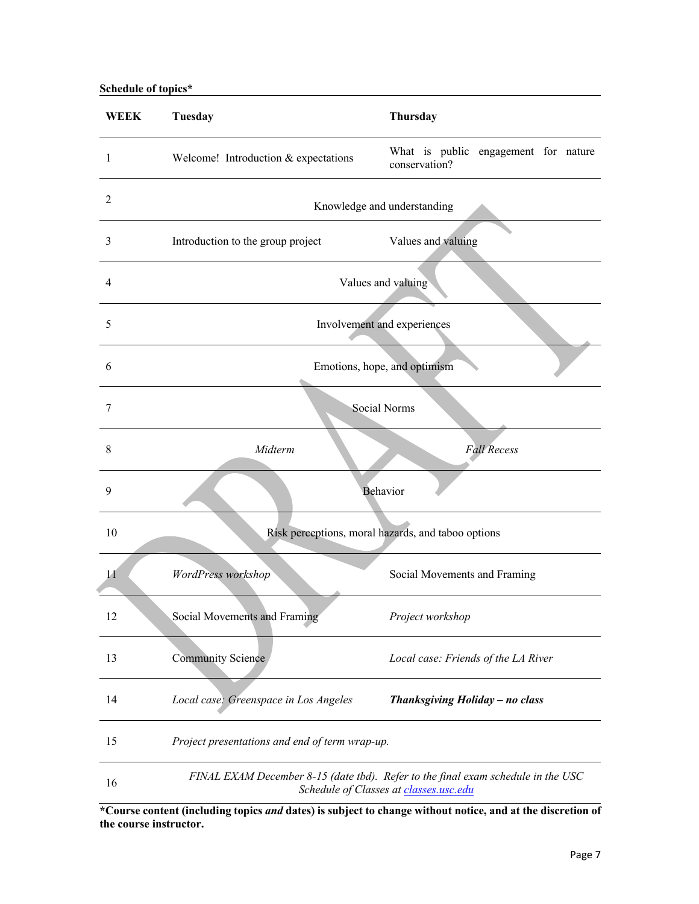# **Schedule of topics\***

| <b>WEEK</b>    | Tuesday                                                                                                                    | Thursday                                              |  |
|----------------|----------------------------------------------------------------------------------------------------------------------------|-------------------------------------------------------|--|
| 1              | Welcome! Introduction & expectations                                                                                       | What is public engagement for nature<br>conservation? |  |
| $\overline{2}$ | Knowledge and understanding                                                                                                |                                                       |  |
| 3              | Introduction to the group project                                                                                          | Values and valuing                                    |  |
| $\overline{4}$ | Values and valuing                                                                                                         |                                                       |  |
| 5              | Involvement and experiences                                                                                                |                                                       |  |
| 6              | Emotions, hope, and optimism                                                                                               |                                                       |  |
| 7              |                                                                                                                            | Social Norms                                          |  |
| 8              | Midterm                                                                                                                    | <b>Fall Recess</b>                                    |  |
| 9              |                                                                                                                            | Behavior                                              |  |
| 10             | Risk perceptions, moral hazards, and taboo options                                                                         |                                                       |  |
| 11             | WordPress workshop                                                                                                         | Social Movements and Framing                          |  |
| 12             | Social Movements and Framing                                                                                               | Project workshop                                      |  |
| 13             | <b>Community Science</b>                                                                                                   | Local case: Friends of the LA River                   |  |
| 14             | Local case: Greenspace in Los Angeles                                                                                      | Thanksgiving Holiday - no class                       |  |
| 15             | Project presentations and end of term wrap-up.                                                                             |                                                       |  |
| 16             | FINAL EXAM December 8-15 (date tbd). Refer to the final exam schedule in the USC<br>Schedule of Classes at classes.usc.edu |                                                       |  |

**\*Course content (including topics** *and* **dates) is subject to change without notice, and at the discretion of the course instructor.**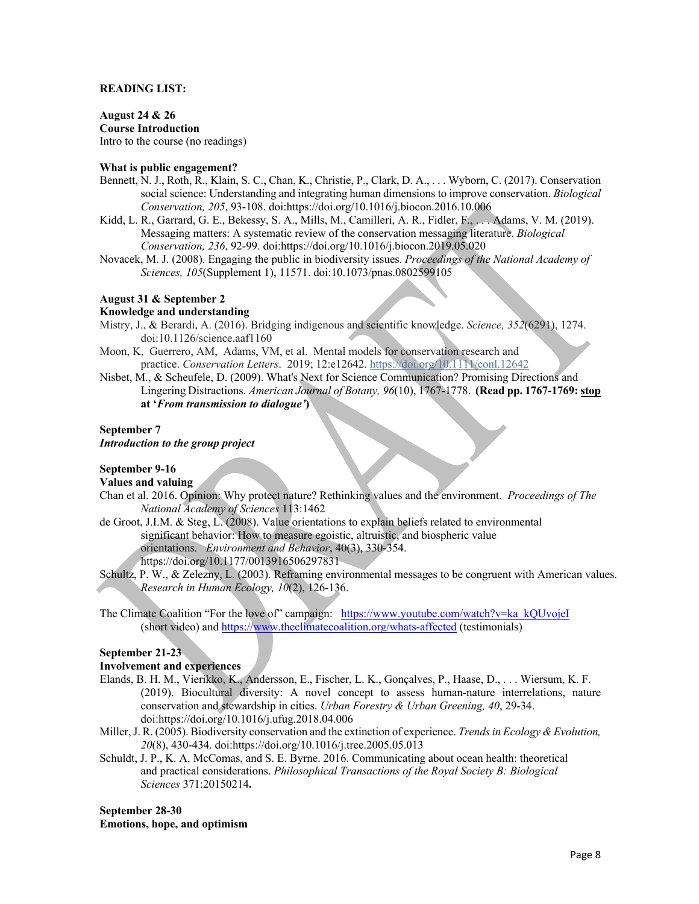#### **READING LIST:**

**August 24 & 26 Course Introduction** Intro to the course (no readings)

#### **What is public engagement?**

- Bennett, N. J., Roth, R., Klain, S. C., Chan, K., Christie, P., Clark, D. A., . . . Wyborn, C. (2017). Conservation social science: Understanding and integrating human dimensions to improve conservation. *Biological Conservation, 205*, 93-108. doi:https://doi.org/10.1016/j.biocon.2016.10.006
- Kidd, L. R., Garrard, G. E., Bekessy, S. A., Mills, M., Camilleri, A. R., Fidler, F., . . . Adams, V. M. (2019). Messaging matters: A systematic review of the conservation messaging literature. *Biological Conservation, 236*, 92-99. doi:https://doi.org/10.1016/j.biocon.2019.05.020
- Novacek, M. J. (2008). Engaging the public in biodiversity issues. *Proceedings of the National Academy of Sciences, 105*(Supplement 1), 11571. doi:10.1073/pnas.0802599105

#### **August 31 & September 2**

#### **Knowledge and understanding**

- Mistry, J., & Berardi, A. (2016). Bridging indigenous and scientific knowledge. *Science, 352*(6291), 1274. doi:10.1126/science.aaf1160
- Moon, K, Guerrero, AM, Adams, VM, et al. Mental models for conservation research and practice. *Conservation Letters*. 2019; 12:e12642. https://doi.org/10.1111/conl.12642
- Nisbet, M., & Scheufele, D. (2009). What's Next for Science Communication? Promising Directions and Lingering Distractions. *American Journal of Botany, 96*(10), 1767-1778. **(Read pp. 1767-1769: stop at '***From transmission to dialogue'***)**

#### **September 7**

## *Introduction to the group project*

## **September 9-16**

### **Values and valuing**

- Chan et al. 2016. Opinion: Why protect nature? Rethinking values and the environment. *Proceedings of The National Academy of Sciences* 113:1462
- de Groot, J.I.M. & Steg, L. (2008). Value orientations to explain beliefs related to environmental significant behavior: How to measure egoistic, altruistic, and biospheric value orientations*. Environment and Behavior*, 40(3), 330-354. https://doi.org/10.1177/0013916506297831
- Schultz, P. W., & Zelezny, L. (2003). Reframing environmental messages to be congruent with American values. *Research in Human Ecology, 10*(2), 126-136.
- The Climate Coalition "For the love of" campaign: https://www.youtube.com/watch?v=ka kQUvojeI (short video) and https://www.theclimatecoalition.org/whats-affected (testimonials)

## **September 21-23**

## **Involvement and experiences**

- Elands, B. H. M., Vierikko, K., Andersson, E., Fischer, L. K., Gonçalves, P., Haase, D., . . . Wiersum, K. F. (2019). Biocultural diversity: A novel concept to assess human-nature interrelations, nature conservation and stewardship in cities. *Urban Forestry & Urban Greening, 40*, 29-34. doi:https://doi.org/10.1016/j.ufug.2018.04.006
- Miller, J. R. (2005). Biodiversity conservation and the extinction of experience. *Trends in Ecology & Evolution, 20*(8), 430-434. doi:https://doi.org/10.1016/j.tree.2005.05.013
- Schuldt, J. P., K. A. McComas, and S. E. Byrne. 2016. Communicating about ocean health: theoretical and practical considerations. *Philosophical Transactions of the Royal Society B: Biological Sciences* 371:20150214**.**

#### **September 28-30 Emotions, hope, and optimism**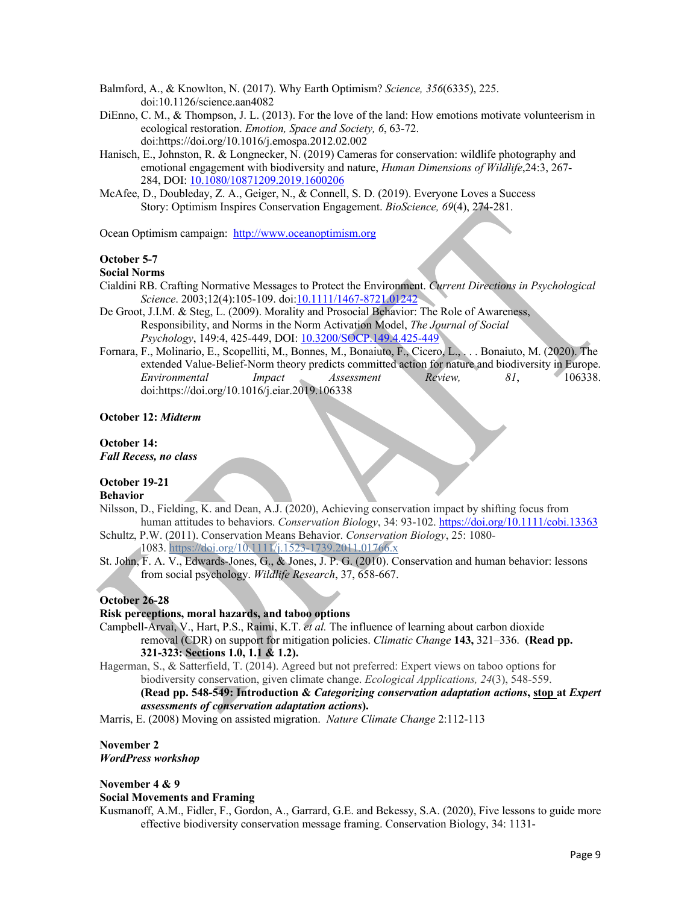Balmford, A., & Knowlton, N. (2017). Why Earth Optimism? *Science, 356*(6335), 225. doi:10.1126/science.aan4082

- DiEnno, C. M., & Thompson, J. L. (2013). For the love of the land: How emotions motivate volunteerism in ecological restoration. *Emotion, Space and Society, 6*, 63-72. doi:https://doi.org/10.1016/j.emospa.2012.02.002
- Hanisch, E., Johnston, R. & Longnecker, N. (2019) Cameras for conservation: wildlife photography and emotional engagement with biodiversity and nature, *Human Dimensions of Wildlife*,24:3, 267- 284, DOI: 10.1080/10871209.2019.1600206
- McAfee, D., Doubleday, Z. A., Geiger, N., & Connell, S. D. (2019). Everyone Loves a Success Story: Optimism Inspires Conservation Engagement. *BioScience, 69*(4), 274-281.

Ocean Optimism campaign: http://www.oceanoptimism.org

#### **October 5-7**

## **Social Norms**

- Cialdini RB. Crafting Normative Messages to Protect the Environment. *Current Directions in Psychological Science*. 2003;12(4):105-109. doi:10.1111/1467-8721.01242
- De Groot, J.I.M. & Steg, L. (2009). Morality and Prosocial Behavior: The Role of Awareness, Responsibility, and Norms in the Norm Activation Model, *The Journal of Social Psychology*, 149:4, 425-449, DOI: 10.3200/SOCP.149.4.425-449
- Fornara, F., Molinario, E., Scopelliti, M., Bonnes, M., Bonaiuto, F., Cicero, L., . . . Bonaiuto, M. (2020). The extended Value-Belief-Norm theory predicts committed action for nature and biodiversity in Europe. *Environmental Impact Assessment Review, 81*, 106338. doi:https://doi.org/10.1016/j.eiar.2019.106338

#### **October 12:** *Midterm*

#### **October 14:** *Fall Recess, no class*

## **October 19-21**

### **Behavior**

- Nilsson, D., Fielding, K. and Dean, A.J. (2020), Achieving conservation impact by shifting focus from human attitudes to behaviors. *Conservation Biology*, 34: 93-102. https://doi.org/10.1111/cobi.13363
- Schultz, P.W. (2011). Conservation Means Behavior. *Conservation Biology*, 25: 1080- 1083. https://doi.org/10.1111/j.1523-1739.2011.01766.x
- St. John, F. A. V., Edwards-Jones, G., & Jones, J. P. G. (2010). Conservation and human behavior: lessons from social psychology. *Wildlife Research*, 37, 658-667.

## **October 26-28**

#### **Risk perceptions, moral hazards, and taboo options**

- Campbell-Arvai, V., Hart, P.S., Raimi, K.T. *et al.* The influence of learning about carbon dioxide removal (CDR) on support for mitigation policies. *Climatic Change* **143,** 321–336. **(Read pp. 321-323: Sections 1.0, 1.1 & 1.2).**
- Hagerman, S., & Satterfield, T. (2014). Agreed but not preferred: Expert views on taboo options for biodiversity conservation, given climate change. *Ecological Applications, 24*(3), 548-559. **(Read pp. 548-549: Introduction &** *Categorizing conservation adaptation actions***, stop at** *Expert assessments of conservation adaptation actions***).**

Marris, E. (2008) Moving on assisted migration. *Nature Climate Change* 2:112-113

#### **November 2** *WordPress workshop*

#### **November 4 & 9**

## **Social Movements and Framing**

Kusmanoff, A.M., Fidler, F., Gordon, A., Garrard, G.E. and Bekessy, S.A. (2020), Five lessons to guide more effective biodiversity conservation message framing. Conservation Biology, 34: 1131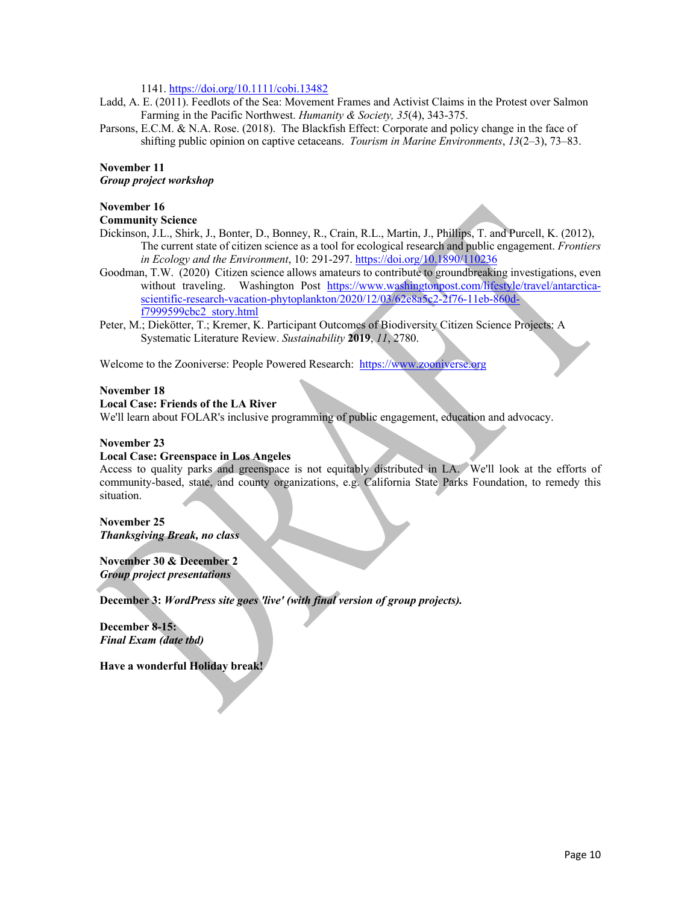1141. https://doi.org/10.1111/cobi.13482

- Ladd, A. E. (2011). Feedlots of the Sea: Movement Frames and Activist Claims in the Protest over Salmon Farming in the Pacific Northwest. *Humanity & Society, 35*(4), 343-375.
- Parsons, E.C.M. & N.A. Rose. (2018). The Blackfish Effect: Corporate and policy change in the face of shifting public opinion on captive cetaceans. *Tourism in Marine Environments*, *13*(2–3), 73–83.

# **November 11**

*Group project workshop*

# **November 16**

### **Community Science**

- Dickinson, J.L., Shirk, J., Bonter, D., Bonney, R., Crain, R.L., Martin, J., Phillips, T. and Purcell, K. (2012), The current state of citizen science as a tool for ecological research and public engagement. *Frontiers in Ecology and the Environment*, 10: 291-297. https://doi.org/10.1890/110236
- Goodman, T.W. (2020) Citizen science allows amateurs to contribute to groundbreaking investigations, even without traveling. Washington Post https://www.washingtonpost.com/lifestyle/travel/antarcticascientific-research-vacation-phytoplankton/2020/12/03/62e8a5c2-2f76-11eb-860df7999599cbc2\_story.html
- Peter, M.; Diekötter, T.; Kremer, K. Participant Outcomes of Biodiversity Citizen Science Projects: A Systematic Literature Review. *Sustainability* **2019**, *11*, 2780.

Welcome to the Zooniverse: People Powered Research: https://www.zooniverse.org

#### **November 18**

## **Local Case: Friends of the LA River**

We'll learn about FOLAR's inclusive programming of public engagement, education and advocacy.

#### **November 23**

### **Local Case: Greenspace in Los Angeles**

Access to quality parks and greenspace is not equitably distributed in LA. We'll look at the efforts of community-based, state, and county organizations, e.g. California State Parks Foundation, to remedy this situation.

#### **November 25** *Thanksgiving Break, no class*

**November 30 & December 2** *Group project presentations*

**December 3:** *WordPress site goes 'live' (with final version of group projects).*

**December 8-15:**  *Final Exam (date tbd)*

**Have a wonderful Holiday break!**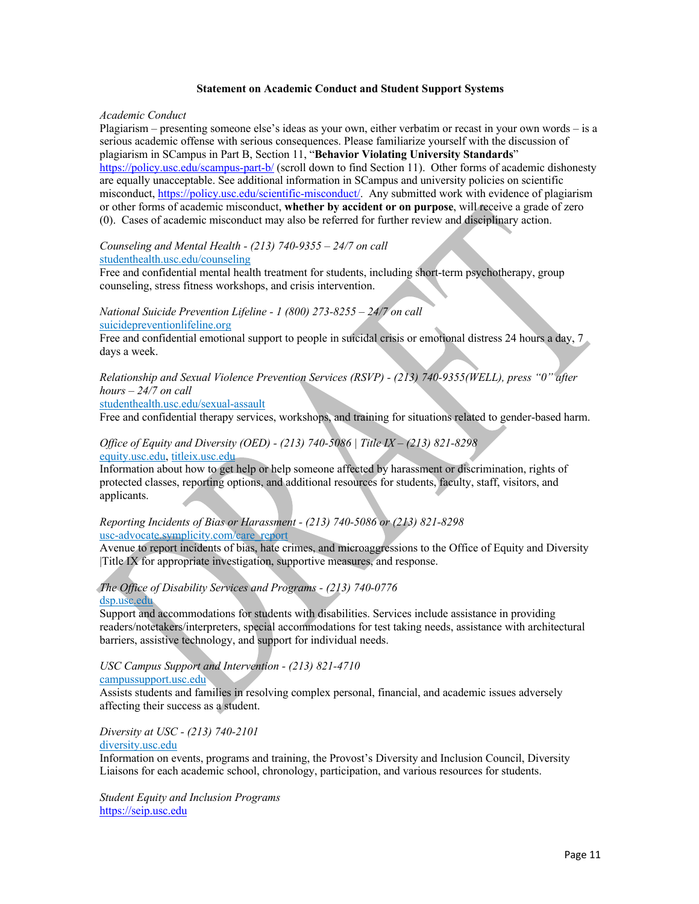#### **Statement on Academic Conduct and Student Support Systems**

#### *Academic Conduct*

Plagiarism – presenting someone else's ideas as your own, either verbatim or recast in your own words – is a serious academic offense with serious consequences. Please familiarize yourself with the discussion of plagiarism in SCampus in Part B, Section 11, "**Behavior Violating University Standards**" https://policy.usc.edu/scampus-part-b/ (scroll down to find Section 11). Other forms of academic dishonesty are equally unacceptable. See additional information in SCampus and university policies on scientific misconduct, https://policy.usc.edu/scientific-misconduct/. Any submitted work with evidence of plagiarism or other forms of academic misconduct, **whether by accident or on purpose**, will receive a grade of zero (0). Cases of academic misconduct may also be referred for further review and disciplinary action.

#### *Counseling and Mental Health - (213) 740-9355 – 24/7 on call* studenthealth.usc.edu/counseling

Free and confidential mental health treatment for students, including short-term psychotherapy, group counseling, stress fitness workshops, and crisis intervention.

# *National Suicide Prevention Lifeline - 1 (800) 273-8255 – 24/7 on call*

suicidepreventionlifeline.org

Free and confidential emotional support to people in suicidal crisis or emotional distress 24 hours a day, 7 days a week.

## *Relationship and Sexual Violence Prevention Services (RSVP) - (213) 740-9355(WELL), press "0" after hours – 24/7 on call*

studenthealth.usc.edu/sexual-assault

Free and confidential therapy services, workshops, and training for situations related to gender-based harm.

## *Office of Equity and Diversity (OED) - (213) 740-5086 | Title IX – (213) 821-8298* equity.usc.edu, titleix.usc.edu

Information about how to get help or help someone affected by harassment or discrimination, rights of protected classes, reporting options, and additional resources for students, faculty, staff, visitors, and applicants.

#### *Reporting Incidents of Bias or Harassment - (213) 740-5086 or (213) 821-8298* usc-advocate.symplicity.com/care\_report

Avenue to report incidents of bias, hate crimes, and microaggressions to the Office of Equity and Diversity |Title IX for appropriate investigation, supportive measures, and response.

## *The Office of Disability Services and Programs - (213) 740-0776* dsp.usc.edu

Support and accommodations for students with disabilities. Services include assistance in providing readers/notetakers/interpreters, special accommodations for test taking needs, assistance with architectural barriers, assistive technology, and support for individual needs.

## *USC Campus Support and Intervention - (213) 821-4710*

#### campussupport.usc.edu

Assists students and families in resolving complex personal, financial, and academic issues adversely affecting their success as a student.

*Diversity at USC - (213) 740-2101* diversity.usc.edu

Information on events, programs and training, the Provost's Diversity and Inclusion Council, Diversity Liaisons for each academic school, chronology, participation, and various resources for students.

*Student Equity and Inclusion Programs*  https://seip.usc.edu